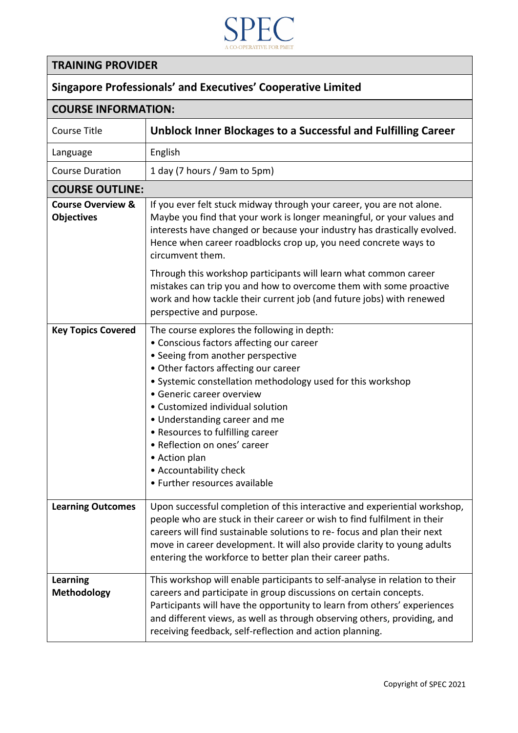

## **TRAINING PROVIDER**

## **Singapore Professionals' and Executives' Cooperative Limited**

| <b>COURSE INFORMATION:</b>                        |                                                                                                                                                                                                                                                                                                                                                                                                                                                                                       |
|---------------------------------------------------|---------------------------------------------------------------------------------------------------------------------------------------------------------------------------------------------------------------------------------------------------------------------------------------------------------------------------------------------------------------------------------------------------------------------------------------------------------------------------------------|
| <b>Course Title</b>                               | Unblock Inner Blockages to a Successful and Fulfilling Career                                                                                                                                                                                                                                                                                                                                                                                                                         |
| Language                                          | English                                                                                                                                                                                                                                                                                                                                                                                                                                                                               |
| <b>Course Duration</b>                            | 1 day (7 hours / 9am to 5pm)                                                                                                                                                                                                                                                                                                                                                                                                                                                          |
| <b>COURSE OUTLINE:</b>                            |                                                                                                                                                                                                                                                                                                                                                                                                                                                                                       |
| <b>Course Overview &amp;</b><br><b>Objectives</b> | If you ever felt stuck midway through your career, you are not alone.<br>Maybe you find that your work is longer meaningful, or your values and<br>interests have changed or because your industry has drastically evolved.<br>Hence when career roadblocks crop up, you need concrete ways to<br>circumvent them.                                                                                                                                                                    |
|                                                   | Through this workshop participants will learn what common career<br>mistakes can trip you and how to overcome them with some proactive<br>work and how tackle their current job (and future jobs) with renewed<br>perspective and purpose.                                                                                                                                                                                                                                            |
| <b>Key Topics Covered</b>                         | The course explores the following in depth:<br>• Conscious factors affecting our career<br>• Seeing from another perspective<br>· Other factors affecting our career<br>· Systemic constellation methodology used for this workshop<br>• Generic career overview<br>• Customized individual solution<br>• Understanding career and me<br>• Resources to fulfilling career<br>• Reflection on ones' career<br>• Action plan<br>• Accountability check<br>• Further resources available |
| <b>Learning Outcomes</b>                          | Upon successful completion of this interactive and experiential workshop,<br>people who are stuck in their career or wish to find fulfilment in their<br>careers will find sustainable solutions to re-focus and plan their next<br>move in career development. It will also provide clarity to young adults<br>entering the workforce to better plan their career paths.                                                                                                             |
| <b>Learning</b><br><b>Methodology</b>             | This workshop will enable participants to self-analyse in relation to their<br>careers and participate in group discussions on certain concepts.<br>Participants will have the opportunity to learn from others' experiences<br>and different views, as well as through observing others, providing, and<br>receiving feedback, self-reflection and action planning.                                                                                                                  |